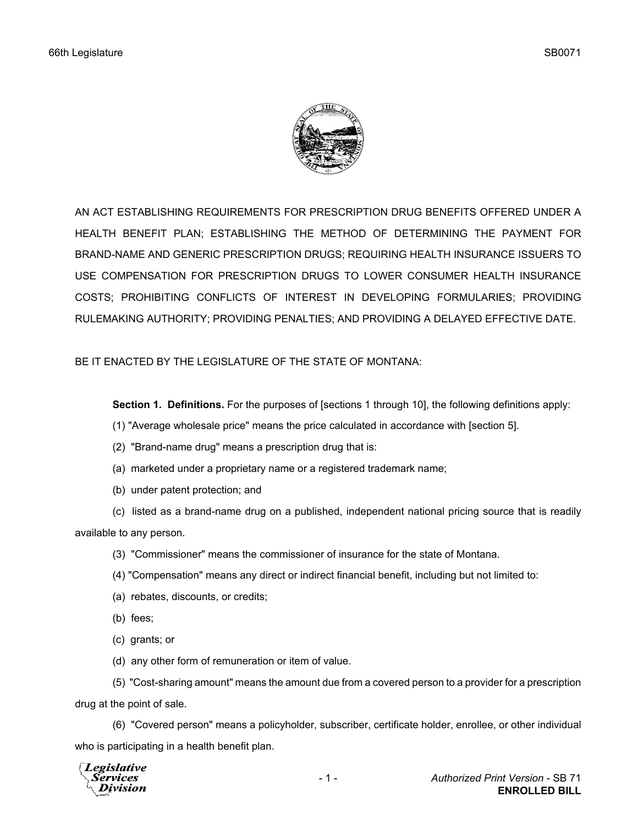

AN ACT ESTABLISHING REQUIREMENTS FOR PRESCRIPTION DRUG BENEFITS OFFERED UNDER A HEALTH BENEFIT PLAN; ESTABLISHING THE METHOD OF DETERMINING THE PAYMENT FOR BRAND-NAME AND GENERIC PRESCRIPTION DRUGS; REQUIRING HEALTH INSURANCE ISSUERS TO USE COMPENSATION FOR PRESCRIPTION DRUGS TO LOWER CONSUMER HEALTH INSURANCE COSTS; PROHIBITING CONFLICTS OF INTEREST IN DEVELOPING FORMULARIES; PROVIDING RULEMAKING AUTHORITY; PROVIDING PENALTIES; AND PROVIDING A DELAYED EFFECTIVE DATE.

BE IT ENACTED BY THE LEGISLATURE OF THE STATE OF MONTANA:

**Section 1. Definitions.** For the purposes of [sections 1 through 10], the following definitions apply:

- (1) "Average wholesale price" means the price calculated in accordance with [section 5].
- (2) "Brand-name drug" means a prescription drug that is:
- (a) marketed under a proprietary name or a registered trademark name;
- (b) under patent protection; and

(c) listed as a brand-name drug on a published, independent national pricing source that is readily available to any person.

- (3) "Commissioner" means the commissioner of insurance for the state of Montana.
- (4) "Compensation" means any direct or indirect financial benefit, including but not limited to:
- (a) rebates, discounts, or credits;
- (b) fees;
- (c) grants; or
- (d) any other form of remuneration or item of value.

(5) "Cost-sharing amount" means the amount due from a covered person to a provider for a prescription drug at the point of sale.

(6) "Covered person" means a policyholder, subscriber, certificate holder, enrollee, or other individual who is participating in a health benefit plan.

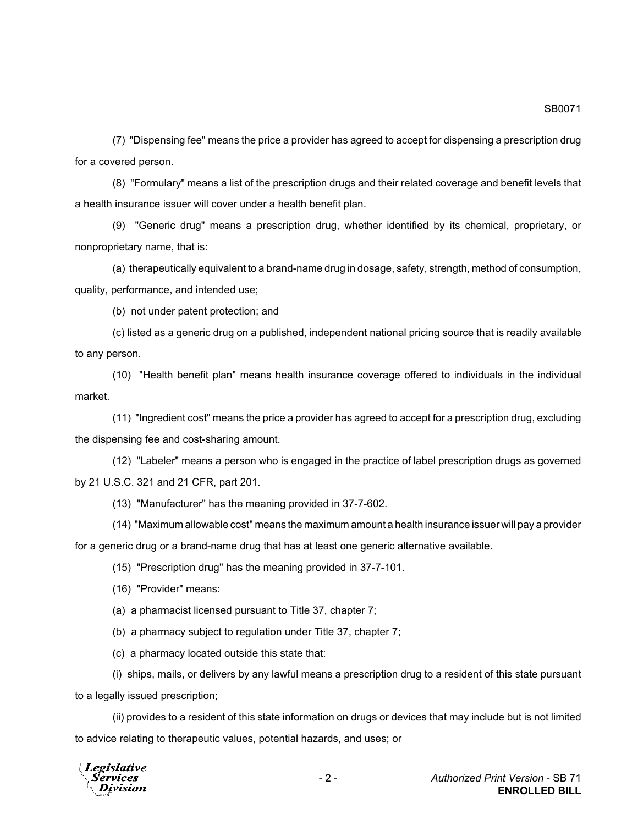SB0071

(7) "Dispensing fee" means the price a provider has agreed to accept for dispensing a prescription drug for a covered person.

(8) "Formulary" means a list of the prescription drugs and their related coverage and benefit levels that a health insurance issuer will cover under a health benefit plan.

(9) "Generic drug" means a prescription drug, whether identified by its chemical, proprietary, or nonproprietary name, that is:

(a) therapeutically equivalent to a brand-name drug in dosage, safety, strength, method of consumption, quality, performance, and intended use;

(b) not under patent protection; and

(c) listed as a generic drug on a published, independent national pricing source that is readily available to any person.

(10) "Health benefit plan" means health insurance coverage offered to individuals in the individual market.

(11) "Ingredient cost" means the price a provider has agreed to accept for a prescription drug, excluding the dispensing fee and cost-sharing amount.

(12) "Labeler" means a person who is engaged in the practice of label prescription drugs as governed by 21 U.S.C. 321 and 21 CFR, part 201.

(13) "Manufacturer" has the meaning provided in 37-7-602.

(14) "Maximum allowable cost" means the maximum amount a health insurance issuer will pay a provider

for a generic drug or a brand-name drug that has at least one generic alternative available.

(15) "Prescription drug" has the meaning provided in 37-7-101.

(16) "Provider" means:

(a) a pharmacist licensed pursuant to Title 37, chapter 7;

(b) a pharmacy subject to regulation under Title 37, chapter 7;

(c) a pharmacy located outside this state that:

(i) ships, mails, or delivers by any lawful means a prescription drug to a resident of this state pursuant to a legally issued prescription;

(ii) provides to a resident of this state information on drugs or devices that may include but is not limited to advice relating to therapeutic values, potential hazards, and uses; or

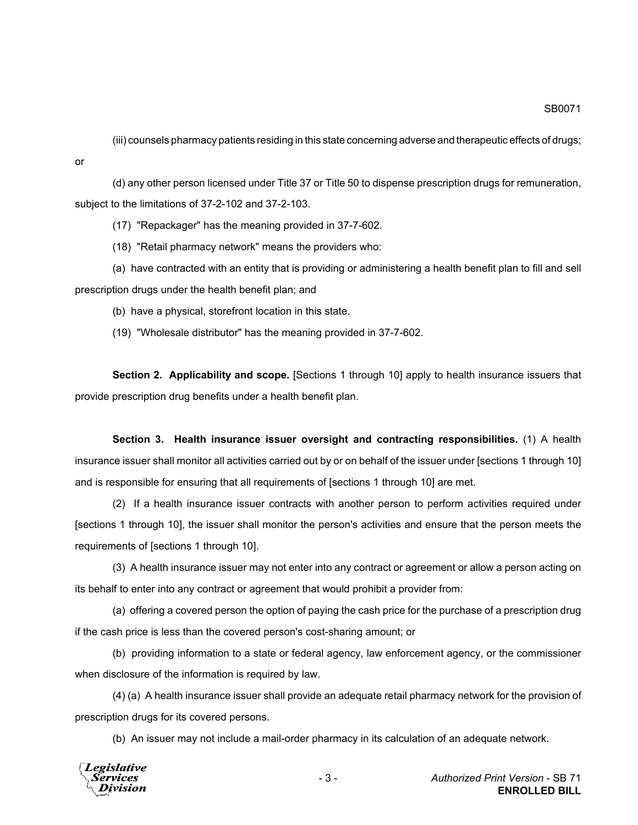(iii) counsels pharmacy patients residing in this state concerning adverse and therapeutic effects of drugs;

(d) any other person licensed under Title 37 or Title 50 to dispense prescription drugs for remuneration, subject to the limitations of 37-2-102 and 37-2-103.

(17) "Repackager" has the meaning provided in 37-7-602.

(18) "Retail pharmacy network" means the providers who:

(a) have contracted with an entity that is providing or administering a health benefit plan to fill and sell prescription drugs under the health benefit plan; and

(b) have a physical, storefront location in this state.

(19) "Wholesale distributor" has the meaning provided in 37-7-602.

**Section 2. Applicability and scope.** [Sections 1 through 10] apply to health insurance issuers that provide prescription drug benefits under a health benefit plan.

**Section 3. Health insurance issuer oversight and contracting responsibilities.** (1) A health insurance issuer shall monitor all activities carried out by or on behalf of the issuer under [sections 1 through 10] and is responsible for ensuring that all requirements of [sections 1 through 10] are met.

(2) If a health insurance issuer contracts with another person to perform activities required under [sections 1 through 10], the issuer shall monitor the person's activities and ensure that the person meets the requirements of [sections 1 through 10].

(3) A health insurance issuer may not enter into any contract or agreement or allow a person acting on its behalf to enter into any contract or agreement that would prohibit a provider from:

(a) offering a covered person the option of paying the cash price for the purchase of a prescription drug if the cash price is less than the covered person's cost-sharing amount; or

(b) providing information to a state or federal agency, law enforcement agency, or the commissioner when disclosure of the information is required by law.

(4) (a) A health insurance issuer shall provide an adequate retail pharmacy network for the provision of prescription drugs for its covered persons.

(b) An issuer may not include a mail-order pharmacy in its calculation of an adequate network.



or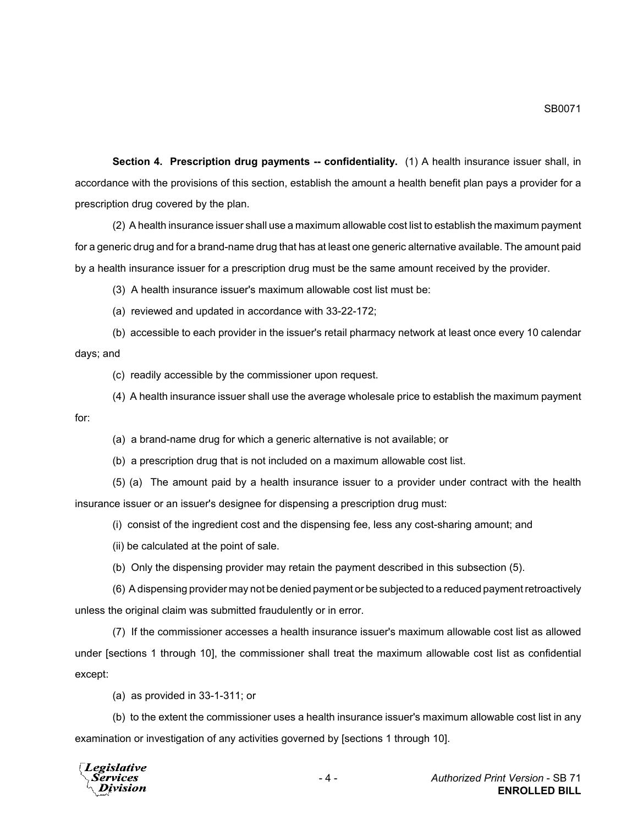**Section 4. Prescription drug payments -- confidentiality.** (1) A health insurance issuer shall, in accordance with the provisions of this section, establish the amount a health benefit plan pays a provider for a prescription drug covered by the plan.

(2) A health insurance issuer shall use a maximum allowable cost list to establish the maximum payment for a generic drug and for a brand-name drug that has at least one generic alternative available. The amount paid by a health insurance issuer for a prescription drug must be the same amount received by the provider.

(3) A health insurance issuer's maximum allowable cost list must be:

(a) reviewed and updated in accordance with 33-22-172;

(b) accessible to each provider in the issuer's retail pharmacy network at least once every 10 calendar days; and

(c) readily accessible by the commissioner upon request.

(4) A health insurance issuer shall use the average wholesale price to establish the maximum payment

for:

(a) a brand-name drug for which a generic alternative is not available; or

(b) a prescription drug that is not included on a maximum allowable cost list.

(5) (a) The amount paid by a health insurance issuer to a provider under contract with the health insurance issuer or an issuer's designee for dispensing a prescription drug must:

(i) consist of the ingredient cost and the dispensing fee, less any cost-sharing amount; and

(ii) be calculated at the point of sale.

(b) Only the dispensing provider may retain the payment described in this subsection (5).

(6) A dispensing provider may not be denied payment or be subjected to a reduced payment retroactively unless the original claim was submitted fraudulently or in error.

(7) If the commissioner accesses a health insurance issuer's maximum allowable cost list as allowed under [sections 1 through 10], the commissioner shall treat the maximum allowable cost list as confidential except:

(a) as provided in 33-1-311; or

(b) to the extent the commissioner uses a health insurance issuer's maximum allowable cost list in any examination or investigation of any activities governed by [sections 1 through 10].

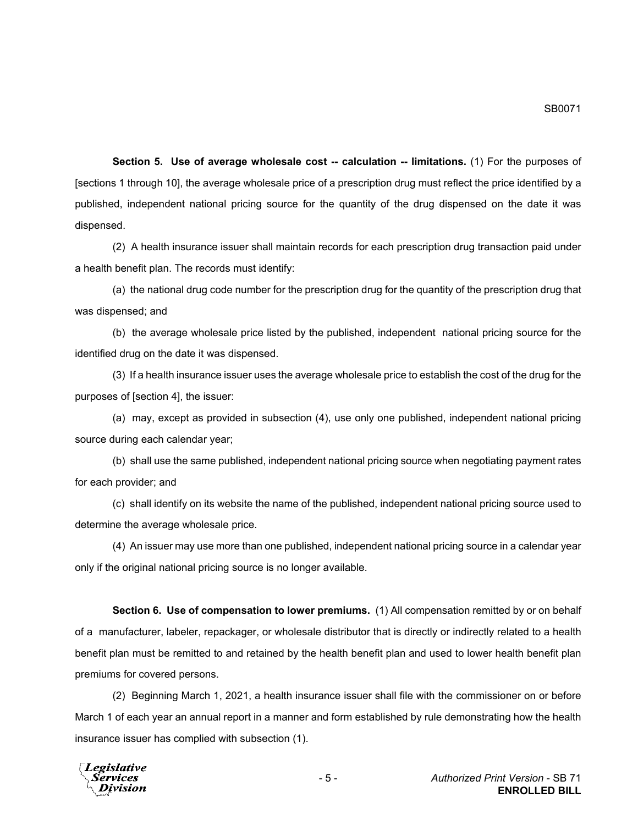**Section 5. Use of average wholesale cost -- calculation -- limitations.** (1) For the purposes of [sections 1 through 10], the average wholesale price of a prescription drug must reflect the price identified by a published, independent national pricing source for the quantity of the drug dispensed on the date it was dispensed.

(2) A health insurance issuer shall maintain records for each prescription drug transaction paid under a health benefit plan. The records must identify:

(a) the national drug code number for the prescription drug for the quantity of the prescription drug that was dispensed; and

(b) the average wholesale price listed by the published, independent national pricing source for the identified drug on the date it was dispensed.

(3) If a health insurance issuer uses the average wholesale price to establish the cost of the drug for the purposes of [section 4], the issuer:

(a) may, except as provided in subsection (4), use only one published, independent national pricing source during each calendar year;

(b) shall use the same published, independent national pricing source when negotiating payment rates for each provider; and

(c) shall identify on its website the name of the published, independent national pricing source used to determine the average wholesale price.

(4) An issuer may use more than one published, independent national pricing source in a calendar year only if the original national pricing source is no longer available.

**Section 6. Use of compensation to lower premiums.** (1) All compensation remitted by or on behalf of a manufacturer, labeler, repackager, or wholesale distributor that is directly or indirectly related to a health benefit plan must be remitted to and retained by the health benefit plan and used to lower health benefit plan premiums for covered persons.

(2) Beginning March 1, 2021, a health insurance issuer shall file with the commissioner on or before March 1 of each year an annual report in a manner and form established by rule demonstrating how the health insurance issuer has complied with subsection (1).

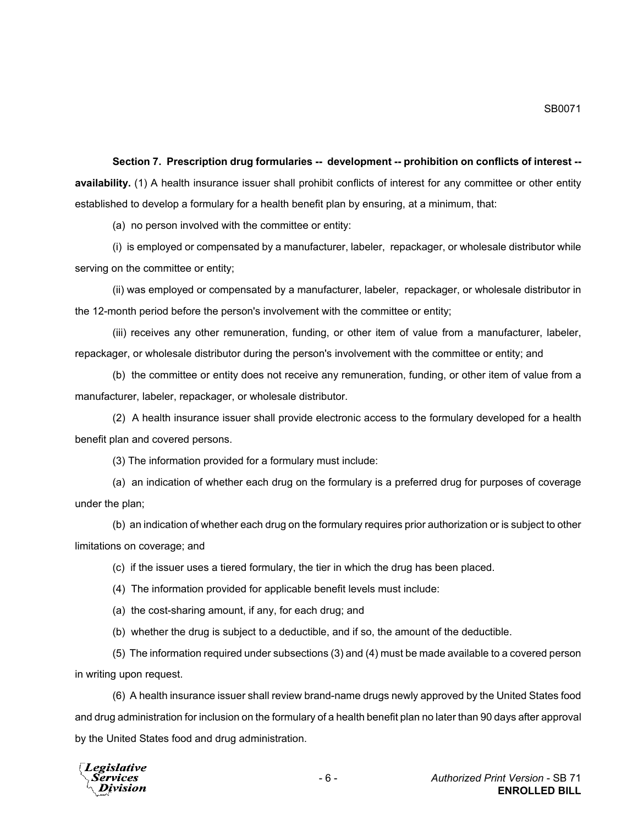**Section 7. Prescription drug formularies -- development -- prohibition on conflicts of interest - availability.** (1) A health insurance issuer shall prohibit conflicts of interest for any committee or other entity established to develop a formulary for a health benefit plan by ensuring, at a minimum, that:

(a) no person involved with the committee or entity:

(i) is employed or compensated by a manufacturer, labeler, repackager, or wholesale distributor while serving on the committee or entity;

(ii) was employed or compensated by a manufacturer, labeler, repackager, or wholesale distributor in the 12-month period before the person's involvement with the committee or entity;

(iii) receives any other remuneration, funding, or other item of value from a manufacturer, labeler, repackager, or wholesale distributor during the person's involvement with the committee or entity; and

(b) the committee or entity does not receive any remuneration, funding, or other item of value from a manufacturer, labeler, repackager, or wholesale distributor.

(2) A health insurance issuer shall provide electronic access to the formulary developed for a health benefit plan and covered persons.

(3) The information provided for a formulary must include:

(a) an indication of whether each drug on the formulary is a preferred drug for purposes of coverage under the plan;

(b) an indication of whether each drug on the formulary requires prior authorization or is subject to other limitations on coverage; and

(c) if the issuer uses a tiered formulary, the tier in which the drug has been placed.

(4) The information provided for applicable benefit levels must include:

(a) the cost-sharing amount, if any, for each drug; and

(b) whether the drug is subject to a deductible, and if so, the amount of the deductible.

(5) The information required under subsections (3) and (4) must be made available to a covered person in writing upon request.

(6) A health insurance issuer shall review brand-name drugs newly approved by the United States food and drug administration for inclusion on the formulary of a health benefit plan no later than 90 days after approval by the United States food and drug administration.

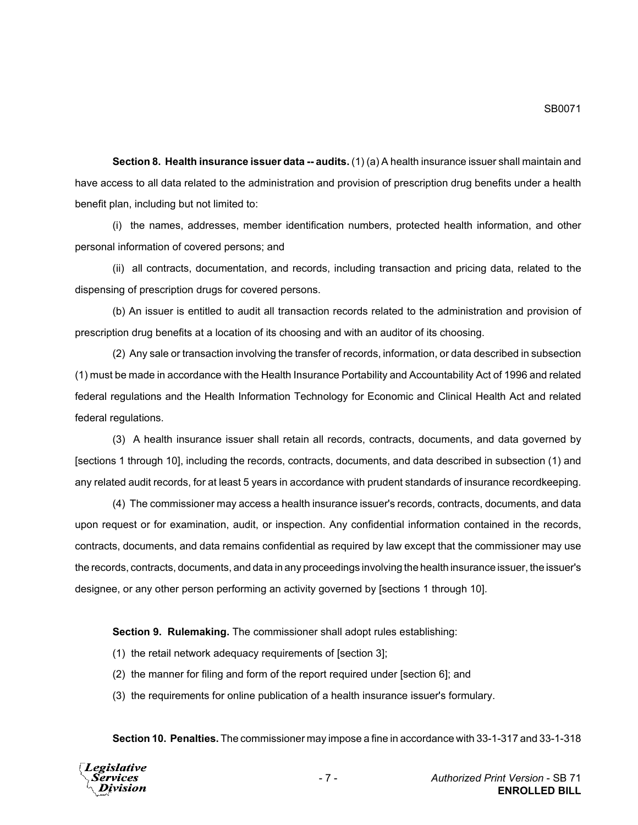**Section 8. Health insurance issuer data -- audits.** (1) (a) A health insurance issuer shall maintain and have access to all data related to the administration and provision of prescription drug benefits under a health benefit plan, including but not limited to:

(i) the names, addresses, member identification numbers, protected health information, and other personal information of covered persons; and

(ii) all contracts, documentation, and records, including transaction and pricing data, related to the dispensing of prescription drugs for covered persons.

(b) An issuer is entitled to audit all transaction records related to the administration and provision of prescription drug benefits at a location of its choosing and with an auditor of its choosing.

(2) Any sale or transaction involving the transfer of records, information, or data described in subsection (1) must be made in accordance with the Health Insurance Portability and Accountability Act of 1996 and related federal regulations and the Health Information Technology for Economic and Clinical Health Act and related federal regulations.

(3) A health insurance issuer shall retain all records, contracts, documents, and data governed by [sections 1 through 10], including the records, contracts, documents, and data described in subsection (1) and any related audit records, for at least 5 years in accordance with prudent standards of insurance recordkeeping.

(4) The commissioner may access a health insurance issuer's records, contracts, documents, and data upon request or for examination, audit, or inspection. Any confidential information contained in the records, contracts, documents, and data remains confidential as required by law except that the commissioner may use the records, contracts, documents, and data in any proceedings involving the health insurance issuer, the issuer's designee, or any other person performing an activity governed by [sections 1 through 10].

**Section 9. Rulemaking.** The commissioner shall adopt rules establishing:

- (1) the retail network adequacy requirements of [section 3];
- (2) the manner for filing and form of the report required under [section 6]; and
- (3) the requirements for online publication of a health insurance issuer's formulary.

**Section 10. Penalties.** The commissioner may impose a fine in accordance with 33-1-317 and 33-1-318

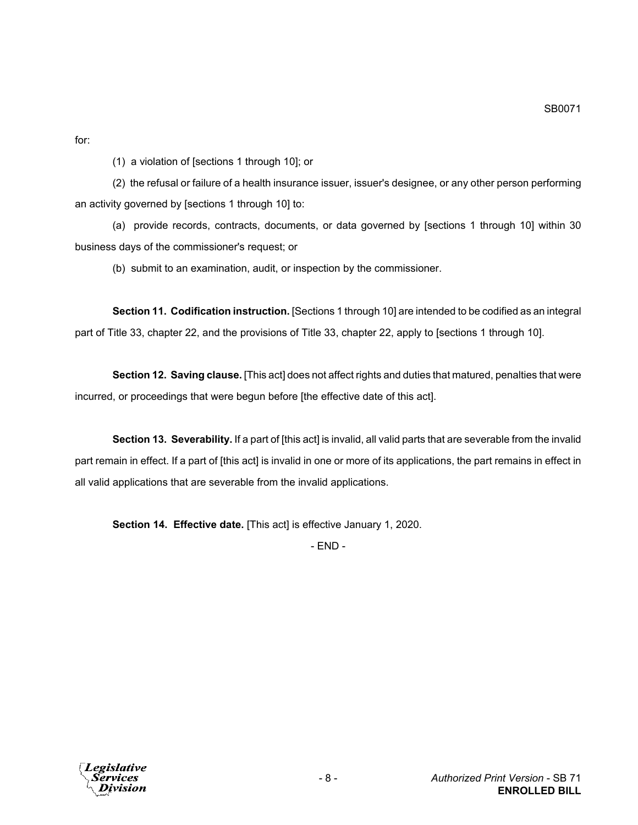for:

(1) a violation of [sections 1 through 10]; or

(2) the refusal or failure of a health insurance issuer, issuer's designee, or any other person performing an activity governed by [sections 1 through 10] to:

(a) provide records, contracts, documents, or data governed by [sections 1 through 10] within 30 business days of the commissioner's request; or

(b) submit to an examination, audit, or inspection by the commissioner.

**Section 11. Codification instruction.** [Sections 1 through 10] are intended to be codified as an integral part of Title 33, chapter 22, and the provisions of Title 33, chapter 22, apply to [sections 1 through 10].

**Section 12. Saving clause.** [This act] does not affect rights and duties that matured, penalties that were incurred, or proceedings that were begun before [the effective date of this act].

**Section 13. Severability.** If a part of [this act] is invalid, all valid parts that are severable from the invalid part remain in effect. If a part of [this act] is invalid in one or more of its applications, the part remains in effect in all valid applications that are severable from the invalid applications.

**Section 14. Effective date.** [This act] is effective January 1, 2020.

- END -

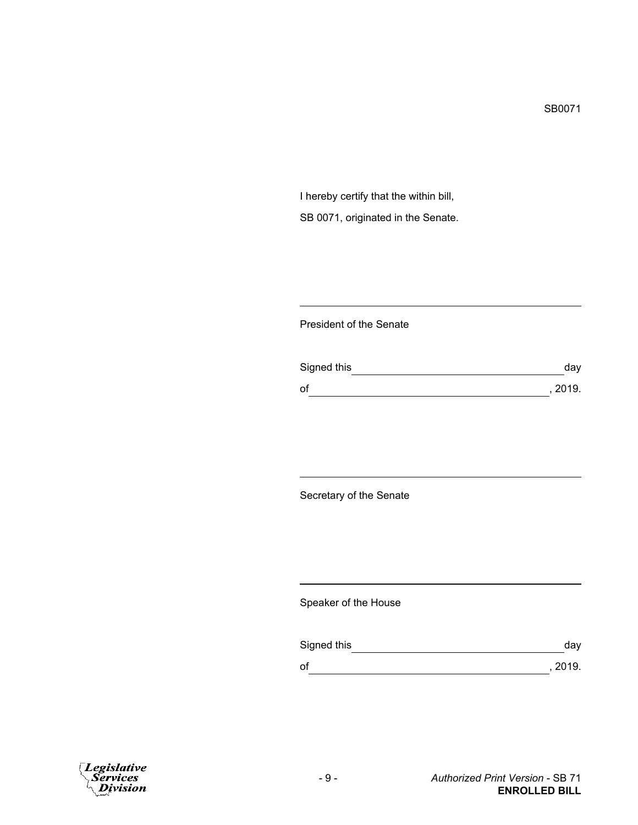I hereby certify that the within bill, SB 0071, originated in the Senate.

## President of the Senate

| Signed this | day     |
|-------------|---------|
| of          | , 2019. |

Secretary of the Senate

Speaker of the House

| Signed this | dav     |
|-------------|---------|
| оf          | , 2019. |